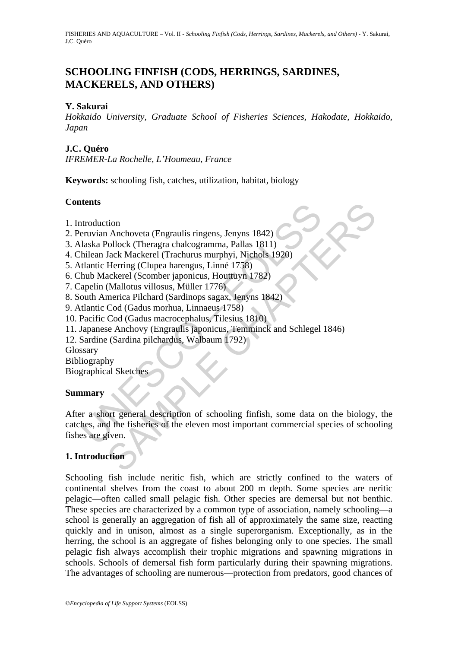# **SCHOOLING FINFISH (CODS, HERRINGS, SARDINES, MACKERELS, AND OTHERS)**

### **Y. Sakurai**

*Hokkaido University, Graduate School of Fisheries Sciences, Hakodate, Hokkaido, Japan* 

## **J.C. Quéro**

*IFREMER-La Rochelle, L'Houmeau, France* 

**Keywords:** schooling fish, catches, utilization, habitat, biology

## **Contents**

- 1. Introduction
- 2. Peruvian Anchoveta (Engraulis ringens, Jenyns 1842)
- 3. Alaska Pollock (Theragra chalcogramma, Pallas 1811)
- 4. Chilean Jack Mackerel (Trachurus murphyi, Nichols 1920)
- 5. Atlantic Herring (Clupea harengus, Linné 1758)
- 6. Chub Mackerel (Scomber japonicus, Houttuyn 1782)
- 7. Capelin (Mallotus villosus, Müller 1776)
- 8. South America Pilchard (Sardinops sagax, Jenyns 1842)
- 9. Atlantic Cod (Gadus morhua, Linnaeus 1758)
- 10. Pacific Cod (Gadus macrocephalus, Tilesius 1810)
- 11. Japanese Anchovy (Engraulis japonicus, Temminck and Schlegel 1846)
- 12. Sardine (Sardina pilchardus, Walbaum 1792)
- Glossary
- Bibliography

Biographical Sketches

## **Summary**

ntroduction<br>
neruvian Anchoveta (Engraulis ringens, Jenyns 1842)<br>
Ilaska Pollock (Theragra chalcogramma, Pallas 1811)<br>
hilean Jack Mackerel (Trachurus murphyi, Nichols 1920)<br>
thantic Herring (Clupea harengus, Linné 1758)<br> tion<br>
Anchoveta (Engraulis ringens, Jenyns 1842)<br>
Alcollock (Theragra chalcogramma, Pallas 1811)<br>
Jack Mackerel (Trachurus murphyi, Nichols 1920)<br>
Herring (Clupea harengus, Limné 1758)<br>
(Mallotus villosus, Müller 1776)<br>
(m After a short general description of schooling finfish, some data on the biology, the catches, and the fisheries of the eleven most important commercial species of schooling fishes are given.

## **1. Introduction**

Schooling fish include neritic fish, which are strictly confined to the waters of continental shelves from the coast to about 200 m depth. Some species are neritic pelagic—often called small pelagic fish. Other species are demersal but not benthic. These species are characterized by a common type of association, namely schooling—a school is generally an aggregation of fish all of approximately the same size, reacting quickly and in unison, almost as a single superorganism. Exceptionally, as in the herring, the school is an aggregate of fishes belonging only to one species. The small pelagic fish always accomplish their trophic migrations and spawning migrations in schools. Schools of demersal fish form particularly during their spawning migrations. The advantages of schooling are numerous—protection from predators, good chances of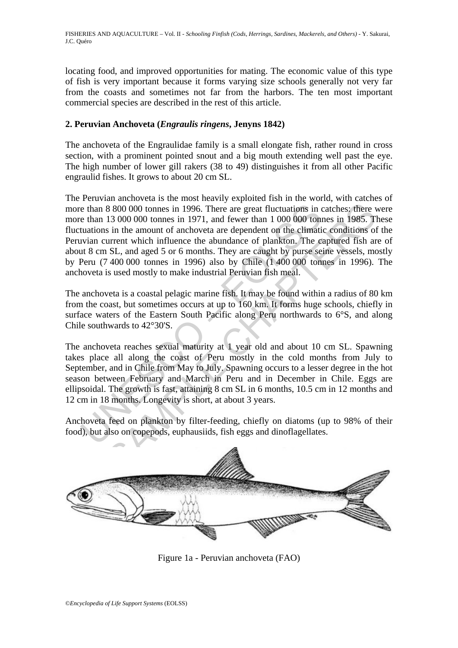locating food, and improved opportunities for mating. The economic value of this type of fish is very important because it forms varying size schools generally not very far from the coasts and sometimes not far from the harbors. The ten most important commercial species are described in the rest of this article.

## **2. Peruvian Anchoveta (***Engraulis ringens***, Jenyns 1842)**

The anchoveta of the Engraulidae family is a small elongate fish, rather round in cross section, with a prominent pointed snout and a big mouth extending well past the eye. The high number of lower gill rakers (38 to 49) distinguishes it from all other Pacific engraulid fishes. It grows to about 20 cm SL.

e than 8 800 000 tonnes in 1996. There are great fluctuations in c<br>e than 13 000 000 tonnes in 1971, and fewer than 1 000 000 ton<br>tuations in the amount of anchoveta are dependent on the climati<br>uitar current which influen 8 800 000 tonnes in 1996. There are great fluctuations in catches; there 13 000 000 tonnes in 1996. There are great fluctuations in catches; there 13 000 000 tonnes in 1971, and fewer than 1 000 000 tonnes in 1985. The inc The Peruvian anchoveta is the most heavily exploited fish in the world, with catches of more than 8 800 000 tonnes in 1996. There are great fluctuations in catches: there were more than 13 000 000 tonnes in 1971, and fewer than 1 000 000 tonnes in 1985. These fluctuations in the amount of anchoveta are dependent on the climatic conditions of the Peruvian current which influence the abundance of plankton. The captured fish are of about 8 cm SL, and aged 5 or 6 months. They are caught by purse seine vessels, mostly by Peru (7 400 000 tonnes in 1996) also by Chile (1 400 000 tonnes in 1996). The anchoveta is used mostly to make industrial Peruvian fish meal.

The anchoveta is a coastal pelagic marine fish. It may be found within a radius of 80 km from the coast, but sometimes occurs at up to 160 km. It forms huge schools, chiefly in surface waters of the Eastern South Pacific along Peru northwards to 6°S, and along Chile southwards to 42°30'S.

The anchoveta reaches sexual maturity at 1 year old and about 10 cm SL. Spawning takes place all along the coast of Peru mostly in the cold months from July to September, and in Chile from May to July. Spawning occurs to a lesser degree in the hot season between February and March in Peru and in December in Chile. Eggs are ellipsoidal. The growth is fast, attaining 8 cm SL in 6 months, 10.5 cm in 12 months and 12 cm in 18 months. Longevity is short, at about 3 years.

Anchoveta feed on plankton by filter-feeding, chiefly on diatoms (up to 98% of their food), but also on copepods, euphausiids, fish eggs and dinoflagellates.



Figure 1a - Peruvian anchoveta (FAO)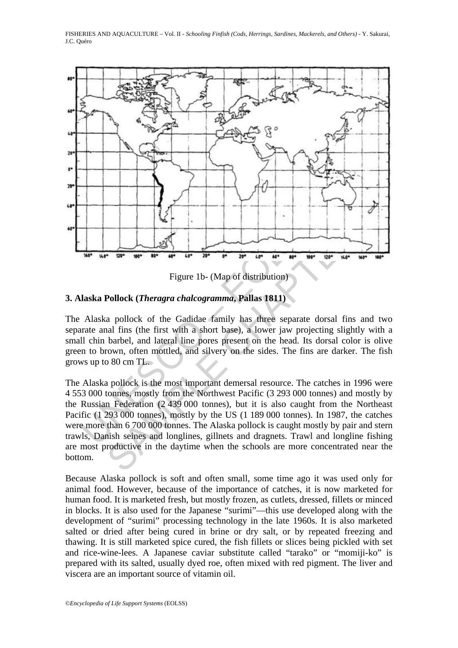

Figure 1b- (Map of distribution)

## **3. Alaska Pollock (***Theragra chalcogramma***, Pallas 1811)**

The Alaska pollock of the Gadidae family has three separate dorsal fins and two separate anal fins (the first with a short base), a lower jaw projecting slightly with a small chin barbel, and lateral line pores present on the head. Its dorsal color is olive green to brown, often mottled, and silvery on the sides. The fins are darker. The fish grows up to 80 cm TL.

The particle of the Galilets and distribution)<br>
Figure 1b - (Map of distribution)<br>
Pollock (*Theragra chalcogramma*, Pallas 1811)<br>
a pollock of the Gadidae family has three separate dorsal fins and<br>
harbel, and lateral li The Alaska pollock is the most important demersal resource. The catches in 1996 were 4 553 000 tonnes, mostly from the Northwest Pacific (3 293 000 tonnes) and mostly by the Russian Federation (2 439 000 tonnes), but it is also caught from the Northeast Pacific (1 293 000 tonnes), mostly by the US (1 189 000 tonnes). In 1987, the catches were more than 6 700 000 tonnes. The Alaska pollock is caught mostly by pair and stern trawls, Danish seines and longlines, gillnets and dragnets. Trawl and longline fishing are most productive in the daytime when the schools are more concentrated near the bottom.

Because Alaska pollock is soft and often small, some time ago it was used only for animal food. However, because of the importance of catches, it is now marketed for human food. It is marketed fresh, but mostly frozen, as cutlets, dressed, fillets or minced in blocks. It is also used for the Japanese "surimi"—this use developed along with the development of "surimi" processing technology in the late 1960s. It is also marketed salted or dried after being cured in brine or dry salt, or by repeated freezing and thawing. It is still marketed spice cured, the fish fillets or slices being pickled with set and rice-wine-lees. A Japanese caviar substitute called "tarako" or "momiji-ko" is prepared with its salted, usually dyed roe, often mixed with red pigment. The liver and viscera are an important source of vitamin oil.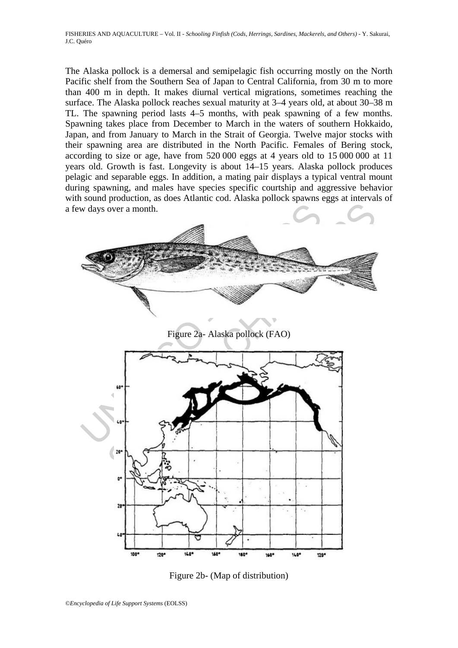The Alaska pollock is a demersal and semipelagic fish occurring mostly on the North Pacific shelf from the Southern Sea of Japan to Central California, from 30 m to more than 400 m in depth. It makes diurnal vertical migrations, sometimes reaching the surface. The Alaska pollock reaches sexual maturity at 3–4 years old, at about 30–38 m TL. The spawning period lasts 4–5 months, with peak spawning of a few months. Spawning takes place from December to March in the waters of southern Hokkaido, Japan, and from January to March in the Strait of Georgia. Twelve major stocks with their spawning area are distributed in the North Pacific. Females of Bering stock, according to size or age, have from 520 000 eggs at 4 years old to 15 000 000 at 11 years old. Growth is fast. Longevity is about 14–15 years. Alaska pollock produces pelagic and separable eggs. In addition, a mating pair displays a typical ventral mount during spawning, and males have species specific courtship and aggressive behavior with sound production, as does Atlantic cod. Alaska pollock spawns eggs at intervals of a few days over a month.



Figure 2b- (Map of distribution)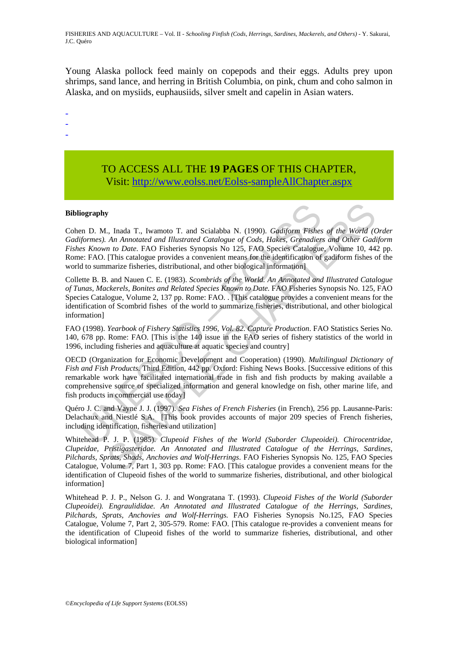Young Alaska pollock feed mainly on copepods and their eggs. Adults prey upon shrimps, sand lance, and herring in British Columbia, on pink, chum and coho salmon in Alaska, and on mysiids, euphausiids, silver smelt and capelin in Asian waters.

- -
- -

# TO ACCESS ALL THE **19 PAGES** OF THIS CHAPTER, Vis[it: http://www.eolss.net/Eolss-sampleAllChapter.aspx](https://www.eolss.net/ebooklib/sc_cart.aspx?File=E5-05-02-01)

#### **Bibliography**

**iography**<br>
in D. M., Inada T., Iwamoto T. and Scialabba N. (1990). *Gadiform Fishesformes*). An Annotated and Illustrated Catalogue of Cods, Hakes, Grenadier<br> *es Known to Date.* FAO Fisheries Synopsis No 125, FAO Species y<br>
S., Inada T., Iwamoto T. and Scialabba N. (1990). *Gadiform Fishes of the World (An Amototed and Illustrated Catalogue of Cods, Hakes, Grenadiers and Other Gadi<br>
In to Date. FAO Fisheries Synopsis No 125, FAO Species C* Cohen D. M., Inada T., Iwamoto T. and Scialabba N. (1990). *Gadiform Fishes of the World (Order Gadiformes). An Annotated and Illustrated Catalogue of Cods, Hakes, Grenadiers and Other Gadiform Fishes Known to Date*. FAO Fisheries Synopsis No 125, FAO Species Catalogue, Volume 10, 442 pp. Rome: FAO. [This catalogue provides a convenient means for the identification of gadiform fishes of the world to summarize fisheries, distributional, and other biological information]

Collette B. B. and Nauen C. E. (1983). *Scombrids of the World. An Annotated and Illustrated Catalogue of Tunas, Mackerels, Bonites and Related Species Known to Date*. FAO Fisheries Synopsis No. 125, FAO Species Catalogue, Volume 2, 137 pp. Rome: FAO. . [This catalogue provides a convenient means for the identification of Scombrid fishes of the world to summarize fisheries, distributional, and other biological information]

FAO (1998). *Yearbook of Fishery Statistics 1996, Vol. 82. Capture Production*. FAO Statistics Series No. 140, 678 pp. Rome: FAO. [This is the 140 issue in the FAO series of fishery statistics of the world in 1996, including fisheries and aquaculture at aquatic species and country]

OECD (Organization for Economic Development and Cooperation) (1990). *Multilingual Dictionary of Fish and Fish Products*. Third Edition, 442 pp. Oxford: Fishing News Books. [Successive editions of this remarkable work have facilitated international trade in fish and fish products by making available a comprehensive source of specialized information and general knowledge on fish, other marine life, and fish products in commercial use today]

Quéro J. C. and Vayne J. J. (1997). *Sea Fishes of French Fisheries* (in French), 256 pp. Lausanne-Paris: Delachaux and Niestlé S.A. [This book provides accounts of major 209 species of French fisheries, including identification, fisheries and utilization]

Whitehead P. J. P. (1985). *Clupeoid Fishes of the World (Suborder Clupeoidei). Chirocentridae, Clupeidae, Pristigasteridae. An Annotated and Illustrated Catalogue of the Herrings, Sardines, Pilchards, Sprats, Shads, Anchovies and Wolf-Herrings*. FAO Fisheries Synopsis No. 125, FAO Species Catalogue, Volume 7, Part 1, 303 pp. Rome: FAO. [This catalogue provides a convenient means for the identification of Clupeoid fishes of the world to summarize fisheries, distributional, and other biological information]

Whitehead P. J. P., Nelson G. J. and Wongratana T. (1993). *Clupeoid Fishes of the World (Suborder Clupeoidei). Engraulididae. An Annotated and Illustrated Catalogue of the Herrings, Sardines, Pilchards, Sprats, Anchovies and Wolf-Herrings.* FAO Fisheries Synopsis No.125, FAO Species Catalogue, Volume 7, Part 2, 305-579. Rome: FAO. [This catalogue re-provides a convenient means for the identification of Clupeoid fishes of the world to summarize fisheries, distributional, and other biological information]